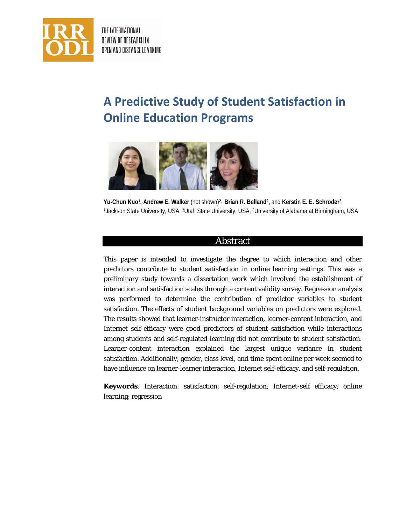

THE INTERNATIONAL REVIEW OF RESEARCH IN OPEN AND DISTANCE LEARNING

# **A Predictive Study of Student Satisfaction in Online Education Programs**



**Yu-Chun Kuo1, Andrew E. Walker** (not shown)**2, Brian R. Belland2,** and **Kerstin E. E. Schroder3** 1Jackson State University, USA, <sup>2</sup>Utah State University, USA, <sup>3</sup>University of Alabama at Birmingham, USA

# Abstract

This paper is intended to investigate the degree to which interaction and other predictors contribute to student satisfaction in online learning settings. This was a preliminary study towards a dissertation work which involved the establishment of interaction and satisfaction scales through a content validity survey. Regression analysis was performed to determine the contribution of predictor variables to student satisfaction. The effects of student background variables on predictors were explored. The results showed that learner-instructor interaction, learner-content interaction, and Internet self-efficacy were good predictors of student satisfaction while interactions among students and self-regulated learning did not contribute to student satisfaction. Learner-content interaction explained the largest unique variance in student satisfaction. Additionally, gender, class level, and time spent online per week seemed to have influence on learner-learner interaction, Internet self-efficacy, and self-regulation.

**Keywords**: Interaction; satisfaction; self-regulation; Internet-self efficacy; online learning; regression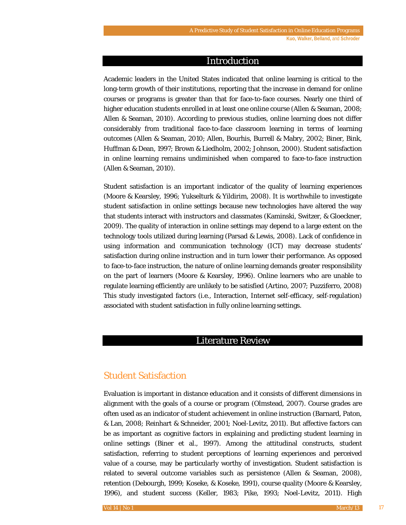### Introduction

Academic leaders in the United States indicated that online learning is critical to the long-term growth of their institutions, reporting that the increase in demand for online courses or programs is greater than that for face-to-face courses. Nearly one third of higher education students enrolled in at least one online course (Allen & Seaman, 2008; Allen & Seaman, 2010). According to previous studies, online learning does not differ considerably from traditional face-to-face classroom learning in terms of learning outcomes (Allen & Seaman, 2010; Allen, Bourhis, Burrell & Mabry, 2002; Biner, Bink, Huffman & Dean, 1997; Brown & Liedholm, 2002; Johnson, 2000). Student satisfaction in online learning remains undiminished when compared to face-to-face instruction (Allen & Seaman, 2010).

Student satisfaction is an important indicator of the quality of learning experiences (Moore & Kearsley, 1996; Yukselturk & Yildirim, 2008). It is worthwhile to investigate student satisfaction in online settings because new technologies have altered the way that students interact with instructors and classmates (Kaminski, Switzer, & Gloeckner, 2009). The quality of interaction in online settings may depend to a large extent on the technology tools utilized during learning (Parsad & Lewis, 2008). Lack of confidence in using information and communication technology (ICT) may decrease students' satisfaction during online instruction and in turn lower their performance. As opposed to face-to-face instruction, the nature of online learning demands greater responsibility on the part of learners (Moore & Kearsley, 1996). Online learners who are unable to regulate learning efficiently are unlikely to be satisfied (Artino, 2007; Puzziferro, 2008) This study investigated factors (i.e., Interaction, Internet self-efficacy, self-regulation) associated with student satisfaction in fully online learning settings.

## Literature Review

# Student Satisfaction

Evaluation is important in distance education and it consists of different dimensions in alignment with the goals of a course or program (Olmstead, 2007). Course grades are often used as an indicator of student achievement in online instruction (Barnard, Paton, & Lan, 2008; Reinhart & Schneider, 2001; Noel-Levitz, 2011). But affective factors can be as important as cognitive factors in explaining and predicting student learning in online settings (Biner et al., 1997). Among the attitudinal constructs, student satisfaction, referring to student perceptions of learning experiences and perceived value of a course, may be particularly worthy of investigation. Student satisfaction is related to several outcome variables such as persistence (Allen & Seaman, 2008), retention (Debourgh, 1999; Koseke, & Koseke, 1991), course quality (Moore & Kearsley, 1996), and student success (Keller, 1983; Pike, 1993; Noel-Levitz, 2011). High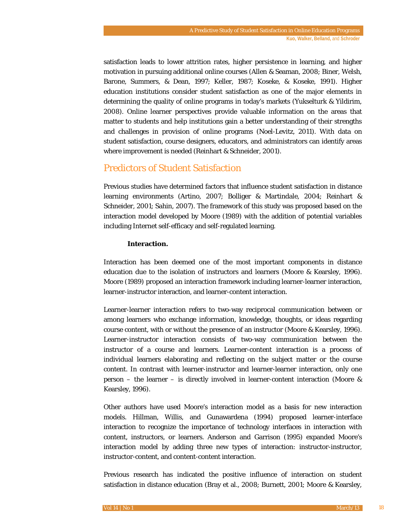satisfaction leads to lower attrition rates, higher persistence in learning, and higher motivation in pursuing additional online courses (Allen & Seaman, 2008; Biner, Welsh, Barone, Summers, & Dean, 1997; Keller, 1987; Koseke, & Koseke, 1991). Higher education institutions consider student satisfaction as one of the major elements in determining the quality of online programs in today's markets (Yukselturk & Yildirim, 2008). Online learner perspectives provide valuable information on the areas that matter to students and help institutions gain a better understanding of their strengths and challenges in provision of online programs (Noel-Levitz, 2011). With data on student satisfaction, course designers, educators, and administrators can identify areas where improvement is needed (Reinhart & Schneider, 2001).

# Predictors of Student Satisfaction

Previous studies have determined factors that influence student satisfaction in distance learning environments (Artino, 2007; Bolliger & Martindale, 2004; Reinhart & Schneider, 2001; Sahin, 2007). The framework of this study was proposed based on the interaction model developed by Moore (1989) with the addition of potential variables including Internet self-efficacy and self-regulated learning.

### **Interaction.**

Interaction has been deemed one of the most important components in distance education due to the isolation of instructors and learners (Moore & Kearsley, 1996). Moore (1989) proposed an interaction framework including learner-learner interaction, learner-instructor interaction, and learner-content interaction.

Learner-learner interaction refers to two-way reciprocal communication between or among learners who exchange information, knowledge, thoughts, or ideas regarding course content, with or without the presence of an instructor (Moore & Kearsley, 1996). Learner-instructor interaction consists of two-way communication between the instructor of a course and learners. Learner-content interaction is a process of individual learners elaborating and reflecting on the subject matter or the course content. In contrast with learner-instructor and learner-learner interaction, only one person – the learner – is directly involved in learner-content interaction (Moore & Kearsley, 1996).

Other authors have used Moore's interaction model as a basis for new interaction models. Hillman, Willis, and Gunawardena (1994) proposed learner-interface interaction to recognize the importance of technology interfaces in interaction with content, instructors, or learners. Anderson and Garrison (1995) expanded Moore's interaction model by adding three new types of interaction: instructor-instructor, instructor-content, and content-content interaction.

Previous research has indicated the positive influence of interaction on student satisfaction in distance education (Bray et al., 2008; Burnett, 2001; Moore & Kearsley,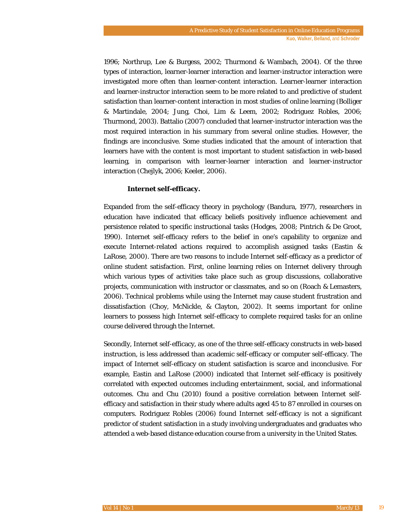1996; Northrup, Lee & Burgess, 2002; Thurmond & Wambach, 2004). Of the three types of interaction, learner-learner interaction and learner-instructor interaction were investigated more often than learner-content interaction. Learner-learner interaction and learner-instructor interaction seem to be more related to and predictive of student satisfaction than learner-content interaction in most studies of online learning (Bolliger & Martindale, 2004; Jung, Choi, Lim & Leem, 2002; Rodriguez Robles, 2006; Thurmond, 2003). Battalio (2007) concluded that learner-instructor interaction was the most required interaction in his summary from several online studies. However, the findings are inconclusive. Some studies indicated that the amount of interaction that learners have with the content is most important to student satisfaction in web-based learning, in comparison with learner-learner interaction and learner-instructor interaction (Chejlyk, 2006; Keeler, 2006).

#### **Internet self-efficacy.**

Expanded from the self-efficacy theory in psychology (Bandura, 1977), researchers in education have indicated that efficacy beliefs positively influence achievement and persistence related to specific instructional tasks (Hodges, 2008; Pintrich & De Groot, 1990). Internet self-efficacy refers to the belief in one's capability to organize and execute Internet-related actions required to accomplish assigned tasks (Eastin & LaRose, 2000). There are two reasons to include Internet self-efficacy as a predictor of online student satisfaction. First, online learning relies on Internet delivery through which various types of activities take place such as group discussions, collaborative projects, communication with instructor or classmates, and so on (Roach & Lemasters, 2006). Technical problems while using the Internet may cause student frustration and dissatisfaction (Choy, McNickle, & Clayton, 2002). It seems important for online learners to possess high Internet self-efficacy to complete required tasks for an online course delivered through the Internet.

Secondly, Internet self-efficacy, as one of the three self-efficacy constructs in web-based instruction, is less addressed than academic self-efficacy or computer self-efficacy. The impact of Internet self-efficacy on student satisfaction is scarce and inconclusive. For example, Eastin and LaRose (2000) indicated that Internet self-efficacy is positively correlated with expected outcomes including entertainment, social, and informational outcomes. Chu and Chu (2010) found a positive correlation between Internet selfefficacy and satisfaction in their study where adults aged 45 to 87 enrolled in courses on computers. Rodriguez Robles (2006) found Internet self-efficacy is not a significant predictor of student satisfaction in a study involving undergraduates and graduates who attended a web-based distance education course from a university in the United States.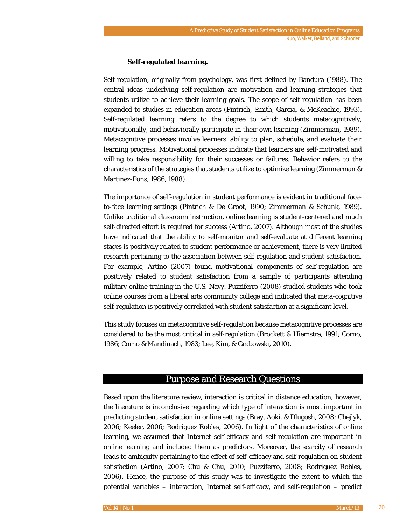### **Self-regulated learning.**

Self-regulation, originally from psychology, was first defined by Bandura (1988). The central ideas underlying self-regulation are motivation and learning strategies that students utilize to achieve their learning goals. The scope of self-regulation has been expanded to studies in education areas (Pintrich, Smith, Garcia, & McKeachie, 1993). Self-regulated learning refers to the degree to which students metacognitively, motivationally, and behaviorally participate in their own learning (Zimmerman, 1989). Metacognitive processes involve learners' ability to plan, schedule, and evaluate their learning progress. Motivational processes indicate that learners are self-motivated and willing to take responsibility for their successes or failures. Behavior refers to the characteristics of the strategies that students utilize to optimize learning (Zimmerman & Martinez-Pons, 1986, 1988).

The importance of self-regulation in student performance is evident in traditional faceto-face learning settings (Pintrich & De Groot, 1990; Zimmerman & Schunk, 1989). Unlike traditional classroom instruction, online learning is student-centered and much self-directed effort is required for success (Artino, 2007). Although most of the studies have indicated that the ability to self-monitor and self-evaluate at different learning stages is positively related to student performance or achievement, there is very limited research pertaining to the association between self-regulation and student satisfaction. For example, Artino (2007) found motivational components of self-regulation are positively related to student satisfaction from a sample of participants attending military online training in the U.S. Navy. Puzziferro (2008) studied students who took online courses from a liberal arts community college and indicated that meta-cognitive self-regulation is positively correlated with student satisfaction at a significant level.

This study focuses on metacognitive self-regulation because metacognitive processes are considered to be the most critical in self-regulation (Brockett & Hiemstra, 1991; Corno, 1986; Corno & Mandinach, 1983; Lee, Kim, & Grabowski, 2010).

# Purpose and Research Questions

Based upon the literature review, interaction is critical in distance education; however, the literature is inconclusive regarding which type of interaction is most important in predicting student satisfaction in online settings (Bray, Aoki, & Dlugosh, 2008; Chejlyk, 2006; Keeler, 2006; Rodriguez Robles, 2006). In light of the characteristics of online learning, we assumed that Internet self-efficacy and self-regulation are important in online learning and included them as predictors. Moreover, the scarcity of research leads to ambiguity pertaining to the effect of self-efficacy and self-regulation on student satisfaction (Artino, 2007; Chu & Chu, 2010; Puzziferro, 2008; Rodriguez Robles, 2006). Hence, the purpose of this study was to investigate the extent to which the potential variables – interaction, Internet self-efficacy, and self-regulation – predict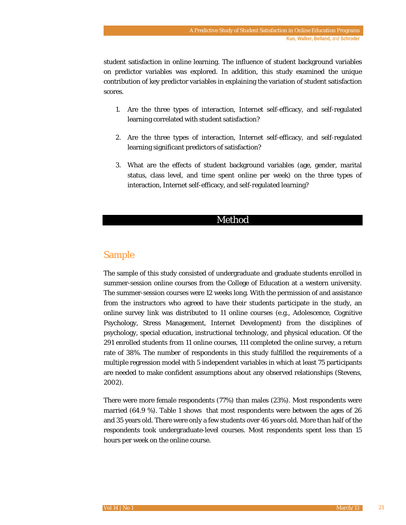student satisfaction in online learning. The influence of student background variables on predictor variables was explored. In addition, this study examined the unique contribution of key predictor variables in explaining the variation of student satisfaction scores.

- 1. Are the three types of interaction, Internet self-efficacy, and self-regulated learning correlated with student satisfaction?
- 2. Are the three types of interaction, Internet self-efficacy, and self-regulated learning significant predictors of satisfaction?
- 3. What are the effects of student background variables (age, gender, marital status, class level, and time spent online per week) on the three types of interaction, Internet self-efficacy, and self-regulated learning?

### Method

# Sample

The sample of this study consisted of undergraduate and graduate students enrolled in summer-session online courses from the College of Education at a western university. The summer-session courses were 12 weeks long. With the permission of and assistance from the instructors who agreed to have their students participate in the study, an online survey link was distributed to 11 online courses (e.g., Adolescence, Cognitive Psychology, Stress Management, Internet Development) from the disciplines of psychology, special education, instructional technology, and physical education. Of the 291 enrolled students from 11 online courses, 111 completed the online survey, a return rate of 38%. The number of respondents in this study fulfilled the requirements of a multiple regression model with 5 independent variables in which at least 75 participants are needed to make confident assumptions about any observed relationships (Stevens, 2002).

There were more female respondents (77%) than males (23%). Most respondents were married (64.9 %). Table 1 shows that most respondents were between the ages of 26 and 35 years old. There were only a few students over 46 years old. More than half of the respondents took undergraduate-level courses. Most respondents spent less than 15 hours per week on the online course.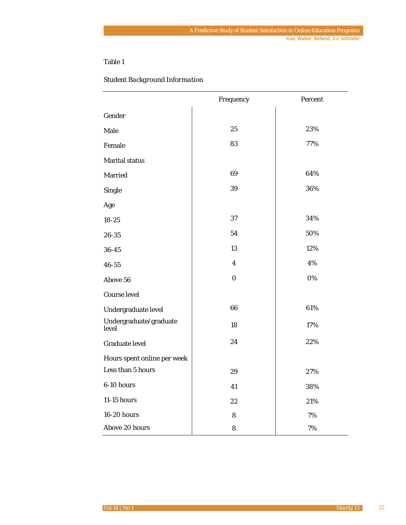### Table 1

# *Student Background Information*

|                                 | Frequency               | Percent |
|---------------------------------|-------------------------|---------|
| Gender                          |                         |         |
| Male                            | 25                      | 23%     |
| Female                          | 83                      | 77%     |
| <b>Marital status</b>           |                         |         |
| <b>Married</b>                  | 69                      | 64%     |
| <b>Single</b>                   | 39                      | 36%     |
| Age                             |                         |         |
| $18 - 25$                       | 37                      | 34%     |
| 26-35                           | 54                      | 50%     |
| 36-45                           | 13                      | 12%     |
| $46 - 55$                       | $\overline{\mathbf{4}}$ | 4%      |
| Above 56                        | $\boldsymbol{0}$        | $0\%$   |
| <b>Course level</b>             |                         |         |
| Undergraduate level             | 66                      | 61%     |
| Undergraduate/graduate<br>level | 18                      | 17%     |
| <b>Graduate level</b>           | 24                      | 22%     |
| Hours spent online per week     |                         |         |
| Less than 5 hours               | 29                      | 27%     |
| 6-10 hours                      | 41                      | 38%     |
| 11-15 hours                     | 22                      | 21%     |
| <b>16-20 hours</b>              | 8                       | 7%      |
| Above 20 hours                  | 8                       | 7%      |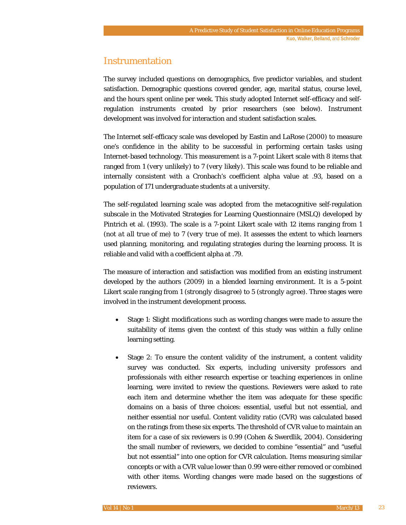# Instrumentation

The survey included questions on demographics, five predictor variables, and student satisfaction. Demographic questions covered gender, age, marital status, course level, and the hours spent online per week. This study adopted Internet self-efficacy and selfregulation instruments created by prior researchers (see below). Instrument development was involved for interaction and student satisfaction scales.

The Internet self-efficacy scale was developed by Eastin and LaRose (2000) to measure one's confidence in the ability to be successful in performing certain tasks using Internet-based technology. This measurement is a 7-point Likert scale with 8 items that ranged from 1 (*very unlikely*) to 7 (*very likely*). This scale was found to be reliable and internally consistent with a Cronbach's coefficient alpha value at .93, based on a population of 171 undergraduate students at a university.

The self-regulated learning scale was adopted from the metacognitive self-regulation subscale in the Motivated Strategies for Learning Questionnaire (MSLQ) developed by Pintrich et al. (1993). The scale is a 7-point Likert scale with 12 items ranging from 1 (*not at all true of me*) to 7 (*very true of me*). It assesses the extent to which learners used planning, monitoring, and regulating strategies during the learning process. It is reliable and valid with a coefficient alpha at .79.

The measure of interaction and satisfaction was modified from an existing instrument developed by the authors (2009) in a blended learning environment. It is a 5-point Likert scale ranging from 1 (*strongly disagree)* to 5 (*strongly agree*). Three stages were involved in the instrument development process.

- Stage 1: Slight modifications such as wording changes were made to assure the suitability of items given the context of this study was within a fully online learning setting.
- Stage 2: To ensure the content validity of the instrument, a content validity survey was conducted. Six experts, including university professors and professionals with either research expertise or teaching experiences in online learning, were invited to review the questions. Reviewers were asked to rate each item and determine whether the item was adequate for these specific domains on a basis of three choices: essential, useful but not essential, and neither essential nor useful. Content validity ratio (CVR) was calculated based on the ratings from these six experts. The threshold of CVR value to maintain an item for a case of six reviewers is 0.99 (Cohen & Swerdlik, 2004). Considering the small number of reviewers, we decided to combine "essential" and "useful but not essential" into one option for CVR calculation. Items measuring similar concepts or with a CVR value lower than 0.99 were either removed or combined with other items. Wording changes were made based on the suggestions of reviewers.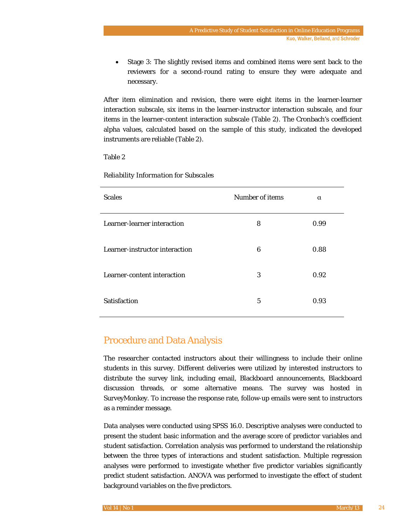• Stage 3: The slightly revised items and combined items were sent back to the reviewers for a second-round rating to ensure they were adequate and necessary.

After item elimination and revision, there were eight items in the learner-learner interaction subscale, six items in the learner-instructor interaction subscale, and four items in the learner-content interaction subscale (Table 2). The Cronbach's coefficient alpha values, calculated based on the sample of this study, indicated the developed instruments are reliable (Table 2).

Table 2

| <b>Scales</b>                  | Number of items | α    |
|--------------------------------|-----------------|------|
| Learner-learner interaction    | 8               | 0.99 |
| Learner-instructor interaction | 6               | 0.88 |
| Learner-content interaction    | 3               | 0.92 |
| <b>Satisfaction</b>            | 5               | 0.93 |

#### *Reliability Information for Subscales*

# Procedure and Data Analysis

The researcher contacted instructors about their willingness to include their online students in this survey. Different deliveries were utilized by interested instructors to distribute the survey link, including email, Blackboard announcements, Blackboard discussion threads, or some alternative means. The survey was hosted in SurveyMonkey. To increase the response rate, follow-up emails were sent to instructors as a reminder message.

Data analyses were conducted using SPSS 16.0. Descriptive analyses were conducted to present the student basic information and the average score of predictor variables and student satisfaction. Correlation analysis was performed to understand the relationship between the three types of interactions and student satisfaction. Multiple regression analyses were performed to investigate whether five predictor variables significantly predict student satisfaction. ANOVA was performed to investigate the effect of student background variables on the five predictors.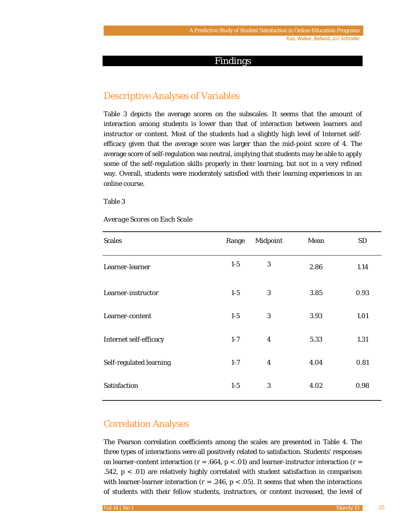## Findings

# Descriptive Analyses of Variables

Table 3 depicts the average scores on the subscales. It seems that the amount of interaction among students is lower than that of interaction between learners and instructor or content. Most of the students had a slightly high level of Internet selfefficacy given that the average score was larger than the mid-point score of 4. The average score of self-regulation was neutral, implying that students may be able to apply some of the self-regulation skills properly in their learning, but not in a very refined way. Overall, students were moderately satisfied with their learning experiences in an online course.

Table 3

#### *Average Scores on Each Scale*

| <b>Scales</b>           | Range   | Midpoint         | Mean | SD   |
|-------------------------|---------|------------------|------|------|
| Learner-learner         | $1-5$   | 3                | 2.86 | 1.14 |
| Learner-instructor      | $1-5$   | 3                | 3.85 | 0.93 |
| Learner-content         | $1-5$   | 3                | 3.93 | 1.01 |
| Internet self-efficacy  | $1 - 7$ | $\overline{4}$   | 5.33 | 1.31 |
| Self-regulated learning | $1 - 7$ | $\boldsymbol{4}$ | 4.04 | 0.81 |
| <b>Satisfaction</b>     | $1-5$   | 3                | 4.02 | 0.98 |

# Correlation Analyses

The Pearson correlation coefficients among the scales are presented in Table 4. The three types of interactions were all positively related to satisfaction. Students' responses on learner-content interaction (*r* = .664, *p* < .01) and learner-instructor interaction (*r* = .542,  $p < .01$ ) are relatively highly correlated with student satisfaction in comparison with learner-learner interaction ( $r = .246$ ,  $p < .05$ ). It seems that when the interactions of students with their fellow students, instructors, or content increased, the level of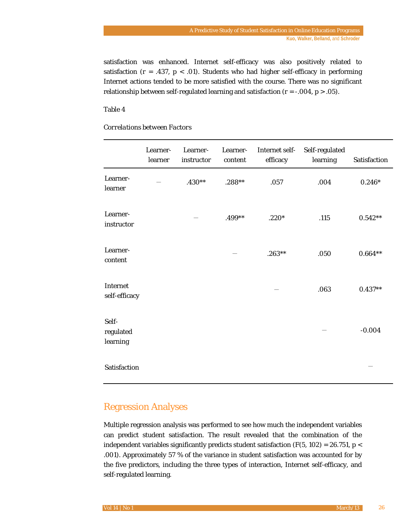satisfaction was enhanced. Internet self-efficacy was also positively related to satisfaction  $(r = .437, p < .01)$ . Students who had higher self-efficacy in performing Internet actions tended to be more satisfied with the course. There was no significant relationship between self-regulated learning and satisfaction (*r* = -.004, *p* > .05).

### Table 4

### *Correlations between Factors*

|                                | Learner-<br>learner | Learner-<br>instructor | Learner-<br>content | Internet self-<br>efficacy | Self-regulated<br>learning | Satisfaction |
|--------------------------------|---------------------|------------------------|---------------------|----------------------------|----------------------------|--------------|
| Learner-<br>learner            |                     | $.430**$               | $.288**$            | .057                       | .004                       | $0.246*$     |
| Learner-<br>instructor         |                     |                        | .499**              | $.220*$                    | .115                       | $0.542**$    |
| Learner-<br>content            |                     |                        |                     | $.263**$                   | .050                       | $0.664**$    |
| Internet<br>self-efficacy      |                     |                        |                     |                            | .063                       | $0.437**$    |
| Self-<br>regulated<br>learning |                     |                        |                     |                            |                            | $-0.004$     |
| Satisfaction                   |                     |                        |                     |                            |                            |              |

# Regression Analyses

Multiple regression analysis was performed to see how much the independent variables can predict student satisfaction. The result revealed that the combination of the independent variables significantly predicts student satisfaction  $(F(5, 102) = 26.751, p <$ .001). Approximately 57 % of the variance in student satisfaction was accounted for by the five predictors, including the three types of interaction, Internet self-efficacy, and self-regulated learning.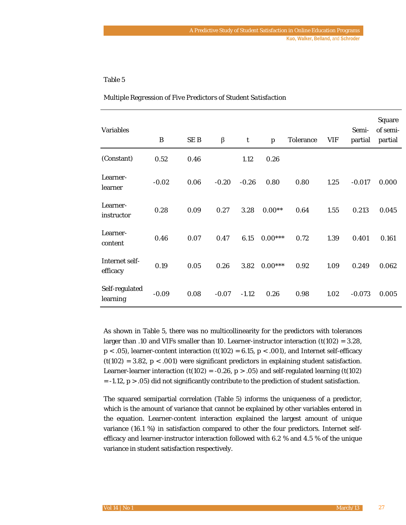### Table 5

|  |  |  |  |  |  |  | Multiple Regression of Five Predictors of Student Satisfaction |
|--|--|--|--|--|--|--|----------------------------------------------------------------|
|--|--|--|--|--|--|--|----------------------------------------------------------------|

| <b>Variables</b>           | $\boldsymbol{B}$ | SE B | $\beta$ | t       | $\boldsymbol{p}$ | <b>Tolerance</b> | <b>VIF</b> | Semi-<br>partial | <b>Square</b><br>of semi-<br>partial |
|----------------------------|------------------|------|---------|---------|------------------|------------------|------------|------------------|--------------------------------------|
| (Constant)                 | 0.52             | 0.46 |         | 1.12    | 0.26             |                  |            |                  |                                      |
| Learner-<br>learner        | $-0.02$          | 0.06 | $-0.20$ | $-0.26$ | 0.80             | 0.80             | 1.25       | $-0.017$         | 0.000                                |
| Learner-<br>instructor     | 0.28             | 0.09 | 0.27    | 3.28    | $0.00**$         | 0.64             | 1.55       | 0.213            | 0.045                                |
| Learner-<br>content        | 0.46             | 0.07 | 0.47    | 6.15    | $0.00***$        | 0.72             | 1.39       | 0.401            | 0.161                                |
| Internet self-<br>efficacy | 0.19             | 0.05 | 0.26    | 3.82    | $0.00***$        | 0.92             | 1.09       | 0.249            | 0.062                                |
| Self-regulated<br>learning | $-0.09$          | 0.08 | $-0.07$ | $-1.12$ | 0.26             | 0.98             | 1.02       | $-0.073$         | 0.005                                |

As shown in Table 5, there was no multicollinearity for the predictors with tolerances larger than .10 and VIFs smaller than 10. Learner-instructor interaction (*t*(102) = 3.28,  $p < .05$ ), learner-content interaction ( $t(102) = 6.15$ ,  $p < .001$ ), and Internet self-efficacy  $(t(102) = 3.82, p < .001)$  were significant predictors in explaining student satisfaction. Learner-learner interaction  $(t(102) = -0.26, p > .05)$  and self-regulated learning  $(t(102)$ = -1.12, *p* > .05) did not significantly contribute to the prediction of student satisfaction.

The squared semipartial correlation (Table 5) informs the uniqueness of a predictor, which is the amount of variance that cannot be explained by other variables entered in the equation. Learner-content interaction explained the largest amount of unique variance (16.1 %) in satisfaction compared to other the four predictors. Internet selfefficacy and learner-instructor interaction followed with 6.2 % and 4.5 % of the unique variance in student satisfaction respectively.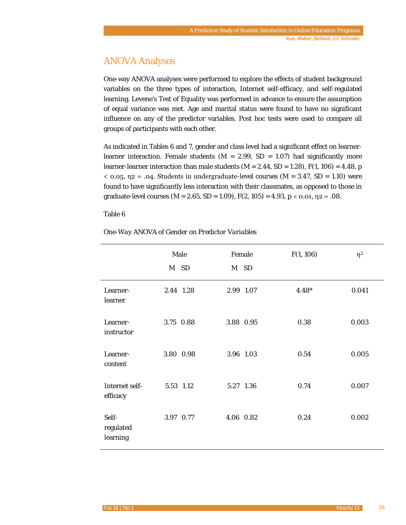# ANOVA Analyses

One-way ANOVA analyses were performed to explore the effects of student background variables on the three types of interaction, Internet self-efficacy, and self-regulated learning. Levene's Test of Equality was performed in advance to ensure the assumption of equal variance was met. Age and marital status were found to have no significant influence on any of the predictor variables. Post hoc tests were used to compare all groups of participants with each other.

As indicated in Tables 6 and 7, gender and class level had a significant effect on learnerlearner interaction. Female students  $(M = 2.99, SD = 1.07)$  had significantly more learner-learner interaction than male students ( $M = 2.44$ ,  $SD = 1.28$ ),  $F(1, 106) = 4.48$ ,  $p$  $<$  0.05,  $\eta$ 2 = .04. Students in undergraduate-level courses ( $M = 3.47$ ,  $SD = 1.10$ ) were found to have significantly less interaction with their classmates, as opposed to those in graduate-level courses (*M* = 2.65, *SD* = 1.09), *F*(2, 105) = 4.93, *p* < 0.01, η2 = .08.

#### Table 6

|                                | Male<br>$M$ SD | Female<br>$M$ SD | F(1, 106) | $\eta^2$ |
|--------------------------------|----------------|------------------|-----------|----------|
| Learner-<br>learner            | 2.44 1.28      | 2.99 1.07        | $4.48*$   | 0.041    |
| Learner-<br>instructor         | 3.75 0.88      | 3.88 0.95        | 0.38      | 0.003    |
| Learner-<br>content            | 3.80 0.98      | 3.96 1.03        | 0.54      | 0.005    |
| Internet self-<br>efficacy     | 5.53 1.12      | 5.27 1.36        | 0.74      | 0.007    |
| Self-<br>regulated<br>learning | 3.97 0.77      | 4.06 0.82        | 0.24      | 0.002    |

#### *One-Way ANOVA of Gender on Predictor Variables*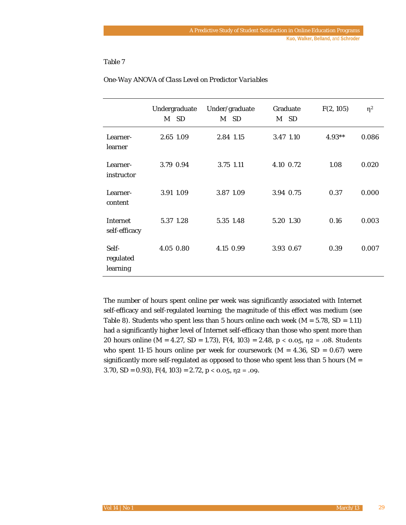## Table 7

|                                | Undergraduate<br>M SD | Under/graduate<br>M SD | Graduate<br>M SD | F(2, 105) | $\eta^2$ |
|--------------------------------|-----------------------|------------------------|------------------|-----------|----------|
| Learner-<br>learner            | 2.65 1.09             | 2.84 1.15              | 3.47 1.10        | $4.93**$  | 0.086    |
| Learner-<br>instructor         | 3.79 0.94             | 3.75 1.11              | 4.10 0.72        | 1.08      | 0.020    |
| Learner-<br>content            | 3.91 1.09             | 3.87 1.09              | 3.94 0.75        | 0.37      | 0.000    |
| Internet<br>self-efficacy      | 5.37 1.28             | 5.35 1.48              | 5.20 1.30        | 0.16      | 0.003    |
| Self-<br>regulated<br>learning | 4.05 0.80             | 4.15 0.99              | 3.93 0.67        | 0.39      | 0.007    |

### *One-Way ANOVA of Class Level on Predictor Variables*

The number of hours spent online per week was significantly associated with Internet self-efficacy and self-regulated learning; the magnitude of this effect was medium (see Table 8). Students who spent less than 5 hours online each week  $(M = 5.78, SD = 1.11)$ had a significantly higher level of Internet self-efficacy than those who spent more than 20 hours online (*M* = 4.27, *SD* = 1.73), *F*(4, 103) = 2.48, *p* < 0.05, η2 = .08. Students who spent 11-15 hours online per week for coursework  $(M = 4.36, SD = 0.67)$  were significantly more self-regulated as opposed to those who spent less than 5 hours (*M* = 3.70,  $SD = 0.93$ ,  $F(4, 103) = 2.72$ ,  $p < 0.05$ ,  $p2 = .09$ .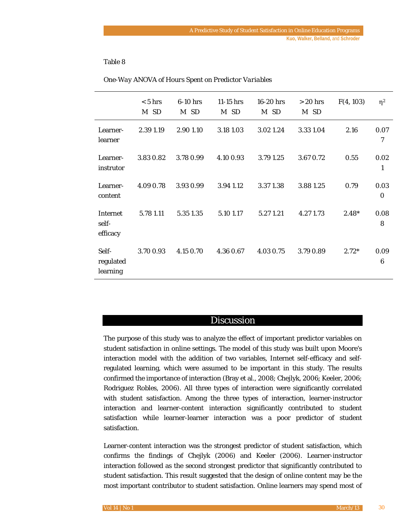### Table 8

|                                | $< 5$ hrs<br>M SD | $6-10$ hrs<br>M SD | $11-15$ hrs<br>M SD | $16-20$ hrs<br>M SD | $>$ 20 hrs<br>M SD | F(4, 103) | $\eta^2$         |
|--------------------------------|-------------------|--------------------|---------------------|---------------------|--------------------|-----------|------------------|
| Learner-<br>learner            | 2.39 1.19         | 2.901.10           | 3.181.03            | 3.021.24            | 3.331.04           | 2.16      | 0.07<br>7        |
| Learner-<br>instrutor          | 3.830.82          | 3.780.99           | 4.10 0.93           | 3.79 1.25           | 3.67 0.72          | 0.55      | 0.02<br>1        |
| Learner-<br>content            | 4.09 0.78         | 3.93 0.99          | 3.94 1.12           | 3.371.38            | 3.881.25           | 0.79      | 0.03<br>$\bf{0}$ |
| Internet<br>self-<br>efficacy  | 5.78 1.11         | 5.35 1.35          | 5.10 1.17           | 5.27 1.21           | 4.271.73           | $2.48*$   | 0.08<br>8        |
| Self-<br>regulated<br>learning | 3.700.93          | 4.15 0.70          | 4.36 0.67           | 4.03 0.75           | 3.79 0.89          | $2.72*$   | 0.09<br>6        |

#### *One-Way ANOVA of Hours Spent on Predictor Variables*

### **Discussion**

The purpose of this study was to analyze the effect of important predictor variables on student satisfaction in online settings. The model of this study was built upon Moore's interaction model with the addition of two variables, Internet self-efficacy and selfregulated learning, which were assumed to be important in this study. The results confirmed the importance of interaction (Bray et al., 2008; Chejlyk, 2006; Keeler, 2006; Rodriguez Robles, 2006). All three types of interaction were significantly correlated with student satisfaction. Among the three types of interaction, learner-instructor interaction and learner-content interaction significantly contributed to student satisfaction while learner-learner interaction was a poor predictor of student satisfaction.

Learner-content interaction was the strongest predictor of student satisfaction, which confirms the findings of Chejlyk (2006) and Keeler (2006). Learner-instructor interaction followed as the second strongest predictor that significantly contributed to student satisfaction. This result suggested that the design of online content may be the most important contributor to student satisfaction. Online learners may spend most of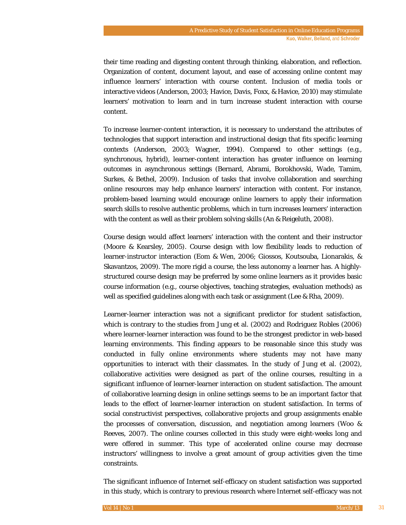their time reading and digesting content through thinking, elaboration, and reflection. Organization of content, document layout, and ease of accessing online content may influence learners' interaction with course content. Inclusion of media tools or interactive videos (Anderson, 2003; Havice, Davis, Foxx, & Havice, 2010) may stimulate learners' motivation to learn and in turn increase student interaction with course content.

To increase learner-content interaction, it is necessary to understand the attributes of technologies that support interaction and instructional design that fits specific learning contexts (Anderson, 2003; Wagner, 1994). Compared to other settings (e.g., synchronous, hybrid), learner-content interaction has greater influence on learning outcomes in asynchronous settings (Bernard, Abrami, Borokhovski, Wade, Tamim, Surkes, & Bethel, 2009). Inclusion of tasks that involve collaboration and searching online resources may help enhance learners' interaction with content. For instance, problem-based learning would encourage online learners to apply their information search skills to resolve authentic problems, which in turn increases learners' interaction with the content as well as their problem solving skills (An & Reigeluth, 2008).

Course design would affect learners' interaction with the content and their instructor (Moore & Kearsley, 2005). Course design with low flexibility leads to reduction of learner-instructor interaction (Eom & Wen, 2006; Giossos, Koutsouba, Lionarakis, & Skavantzos, 2009). The more rigid a course, the less autonomy a learner has. A highlystructured course design may be preferred by some online learners as it provides basic course information (e.g., course objectives, teaching strategies, evaluation methods) as well as specified guidelines along with each task or assignment (Lee & Rha, 2009).

Learner-learner interaction was not a significant predictor for student satisfaction, which is contrary to the studies from Jung et al. (2002) and Rodriguez Robles (2006) where learner-learner interaction was found to be the strongest predictor in web-based learning environments. This finding appears to be reasonable since this study was conducted in fully online environments where students may not have many opportunities to interact with their classmates. In the study of Jung et al. (2002), collaborative activities were designed as part of the online courses, resulting in a significant influence of learner-learner interaction on student satisfaction. The amount of collaborative learning design in online settings seems to be an important factor that leads to the effect of learner-learner interaction on student satisfaction. In terms of social constructivist perspectives, collaborative projects and group assignments enable the processes of conversation, discussion, and negotiation among learners (Woo & Reeves, 2007). The online courses collected in this study were eight-weeks long and were offered in summer. This type of accelerated online course may decrease instructors' willingness to involve a great amount of group activities given the time constraints.

The significant influence of Internet self-efficacy on student satisfaction was supported in this study, which is contrary to previous research where Internet self-efficacy was not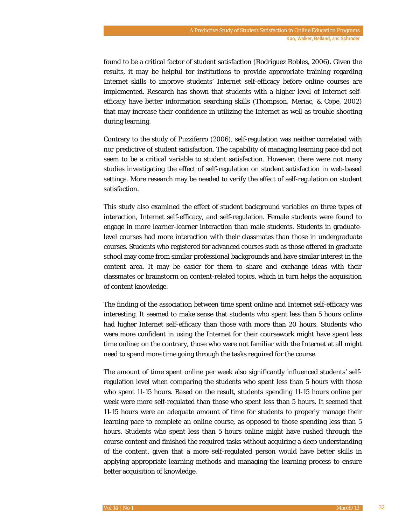found to be a critical factor of student satisfaction (Rodriguez Robles, 2006). Given the results, it may be helpful for institutions to provide appropriate training regarding Internet skills to improve students' Internet self-efficacy before online courses are implemented. Research has shown that students with a higher level of Internet selfefficacy have better information searching skills (Thompson, Meriac, & Cope, 2002) that may increase their confidence in utilizing the Internet as well as trouble shooting during learning.

Contrary to the study of Puzziferro (2006), self-regulation was neither correlated with nor predictive of student satisfaction. The capability of managing learning pace did not seem to be a critical variable to student satisfaction. However, there were not many studies investigating the effect of self-regulation on student satisfaction in web-based settings. More research may be needed to verify the effect of self-regulation on student satisfaction.

This study also examined the effect of student background variables on three types of interaction, Internet self-efficacy, and self-regulation. Female students were found to engage in more learner-learner interaction than male students. Students in graduatelevel courses had more interaction with their classmates than those in undergraduate courses. Students who registered for advanced courses such as those offered in graduate school may come from similar professional backgrounds and have similar interest in the content area. It may be easier for them to share and exchange ideas with their classmates or brainstorm on content-related topics, which in turn helps the acquisition of content knowledge.

The finding of the association between time spent online and Internet self-efficacy was interesting. It seemed to make sense that students who spent less than 5 hours online had higher Internet self-efficacy than those with more than 20 hours. Students who were more confident in using the Internet for their coursework might have spent less time online; on the contrary, those who were not familiar with the Internet at all might need to spend more time going through the tasks required for the course.

The amount of time spent online per week also significantly influenced students' selfregulation level when comparing the students who spent less than 5 hours with those who spent 11-15 hours. Based on the result, students spending 11-15 hours online per week were more self-regulated than those who spent less than 5 hours. It seemed that 11-15 hours were an adequate amount of time for students to properly manage their learning pace to complete an online course, as opposed to those spending less than 5 hours. Students who spent less than 5 hours online might have rushed through the course content and finished the required tasks without acquiring a deep understanding of the content, given that a more self-regulated person would have better skills in applying appropriate learning methods and managing the learning process to ensure better acquisition of knowledge.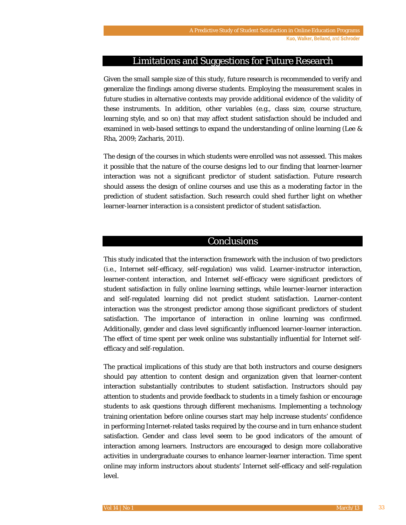### Limitations and Suggestions for Future Research

Given the small sample size of this study, future research is recommended to verify and generalize the findings among diverse students. Employing the measurement scales in future studies in alternative contexts may provide additional evidence of the validity of these instruments. In addition, other variables (e.g., class size, course structure, learning style, and so on) that may affect student satisfaction should be included and examined in web-based settings to expand the understanding of online learning (Lee & Rha, 2009; Zacharis, 2011).

The design of the courses in which students were enrolled was not assessed. This makes it possible that the nature of the course designs led to our finding that learner-learner interaction was not a significant predictor of student satisfaction. Future research should assess the design of online courses and use this as a moderating factor in the prediction of student satisfaction. Such research could shed further light on whether learner-learner interaction is a consistent predictor of student satisfaction.

### **Conclusions**

This study indicated that the interaction framework with the inclusion of two predictors (i.e., Internet self-efficacy, self-regulation) was valid. Learner-instructor interaction, learner-content interaction, and Internet self-efficacy were significant predictors of student satisfaction in fully online learning settings, while learner-learner interaction and self-regulated learning did not predict student satisfaction. Learner-content interaction was the strongest predictor among those significant predictors of student satisfaction. The importance of interaction in online learning was confirmed. Additionally, gender and class level significantly influenced learner-learner interaction. The effect of time spent per week online was substantially influential for Internet selfefficacy and self-regulation.

The practical implications of this study are that both instructors and course designers should pay attention to content design and organization given that learner-content interaction substantially contributes to student satisfaction. Instructors should pay attention to students and provide feedback to students in a timely fashion or encourage students to ask questions through different mechanisms. Implementing a technology training orientation before online courses start may help increase students' confidence in performing Internet-related tasks required by the course and in turn enhance student satisfaction. Gender and class level seem to be good indicators of the amount of interaction among learners. Instructors are encouraged to design more collaborative activities in undergraduate courses to enhance learner-learner interaction. Time spent online may inform instructors about students' Internet self-efficacy and self-regulation level.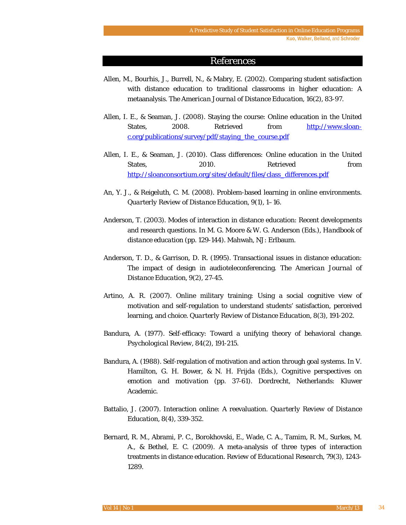### References

- Allen, M., Bourhis, J., Burrell, N., & Mabry, E. (2002). Comparing student satisfaction with distance education to traditional classrooms in higher education: A metaanalysis. *The American Journal of Distance Education, 16*(2), 83-97.
- Allen, I. E., & Seaman, J. (2008). Staying the course: Online education in the United States, 2008. Retrieved from http://www.sloanc.org/publications/survey/pdf/staying\_the\_course.pdf
- Allen, I. E., & Seaman, J. (2010). Class differences: Online education in the United States, 2010. Retrieved from http://sloanconsortium.org/sites/default/files/class\_differences.pdf
- An, Y. J., & Reigeluth, C. M. (2008). Problem-based learning in online environments. *Quarterly Review of Distance Education, 9*(1), 1–16.
- Anderson, T. (2003). Modes of interaction in distance education: Recent developments and research questions. In M. G. Moore & W. G. Anderson (Eds.), *Handbook of distance education* (pp. 129-144). Mahwah, NJ: Erlbaum.
- Anderson, T. D., & Garrison, D. R. (1995). Transactional issues in distance education: The impact of design in audioteleconferencing. *The American Journal of Distance Education, 9*(2), 27-45.
- Artino, A. R. (2007). Online military training: Using a social cognitive view of motivation and self-regulation to understand students' satisfaction, perceived learning, and choice. *Quarterly Review of Distance Education, 8*(3), 191-202.
- Bandura, A. (1977). Self-efficacy: Toward a unifying theory of behavioral change. *Psychological Review, 84*(2), 191-215.
- Bandura, A. (1988). Self-regulation of motivation and action through goal systems. In V. Hamilton, G. H. Bower, & N. H. Frijda (Eds.), *Cognitive perspectives on emotion and motivation* (pp. 37-61). Dordrecht, Netherlands: Kluwer Academic.
- Battalio, J. (2007). Interaction online: A reevaluation. *Quarterly Review of Distance Education, 8*(4), 339-352.
- Bernard, R. M., Abrami, P. C., Borokhovski, E., Wade, C. A., Tamim, R. M., Surkes, M. A., & Bethel, E. C. (2009). A meta-analysis of three types of interaction treatments in distance education. *Review of Educational Research, 79*(3), 1243- 1289.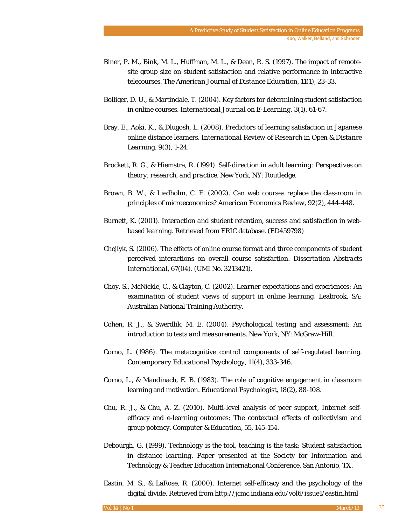- Biner, P. M., Bink, M. L., Huffman, M. L., & Dean, R. S. (1997). The impact of remotesite group size on student satisfaction and relative performance in interactive telecourses. *The American Journal of Distance Education, 11*(1), 23-33.
- Bolliger, D. U., & Martindale, T. (2004). Key factors for determining student satisfaction in online courses. *International Journal on E-Learning, 3*(1), 61-67.
- Bray, E., Aoki, K., & Dlugosh, L. (2008). Predictors of learning satisfaction in Japanese online distance learners. *International Review of Research in Open & Distance Learning, 9*(3), 1-24.
- Brockett, R. G., & Hiemstra, R. (1991). *Self-direction in adult learning: Perspectives on theory, research, and practice*. New York, NY: Routledge.
- Brown, B. W., & Liedholm, C. E. (2002). Can web courses replace the classroom in principles of microeconomics? *American Economics Review, 92*(2), 444-448.
- Burnett, K. (2001). *Interaction and student retention, success and satisfaction in webbased learning.* Retrieved from ERIC database. (ED459798)
- Chejlyk, S. (2006). The effects of online course format and three components of student perceived interactions on overall course satisfaction. *Dissertation Abstracts International, 67*(04). (UMI No. 3213421).
- Choy, S., McNickle, C., & Clayton, C. (2002). *Learner expectations and experiences: An examination of student views of support in online learning*. Leabrook, SA: Australian National Training Authority.
- Cohen, R. J., & Swerdlik, M. E. (2004). *Psychological testing and assessment: An introduction to tests and measurements*. New York, NY: McGraw-Hill.
- Corno, L. (1986). The metacognitive control components of self-regulated learning. *Contemporary Educational Psychology, 11*(4), 333-346.
- Corno, L., & Mandinach, E. B. (1983). The role of cognitive engagement in classroom learning and motivation. *Educational Psychologist, 18*(2), 88-108.
- Chu, R. J., & Chu, A. Z. (2010). Multi-level analysis of peer support, Internet selfefficacy and e-learning outcomes: The contextual effects of collectivism and group potency. *Computer & Education, 55*, 145-154.
- Debourgh, G. (1999). *Technology is the tool, teaching is the task: Student satisfaction in distance learning*. Paper presented at the Society for Information and Technology & Teacher Education International Conference, San Antonio, TX.
- Eastin, M. S., & LaRose, R. (2000). Internet self-efficacy and the psychology of the digital divide. Retrieved from http://jcmc.indiana.edu/vol6/issue1/eastin.html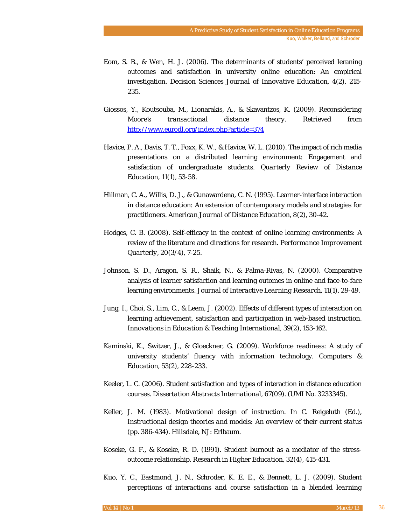- Eom, S. B., & Wen, H. J. (2006). The determinants of students' perceived leraning outcomes and satisfaction in university online education: An empirical investigation. *Decision Sciences Journal of Innovative Education, 4*(2), 215- 235.
- Giossos, Y., Koutsouba, M., Lionarakis, A., & Skavantzos, K. (2009). *Reconsidering Moore's transactional distance theory*. Retrieved from <http://www.eurodl.org/index.php?article=374>
- Havice, P. A., Davis, T. T., Foxx, K. W., & Havice, W. L. (2010). The impact of rich media presentations on a distributed learning environment: Engagement and satisfaction of undergraduate students. *Quarterly Review of Distance Education, 11*(1), 53-58.
- Hillman, C. A., Willis, D. J., & Gunawardena, C. N. (1995). Learner-interface interaction in distance education: An extension of contemporary models and strategies for practitioners. *American Journal of Distance Education, 8*(2), 30-42.
- Hodges, C. B. (2008). Self-efficacy in the context of online learning environments: A review of the literature and directions for research. *Performance Improvement Quarterly, 20*(3/4), 7-25.
- Johnson, S. D., Aragon, S. R., Shaik, N., & Palma-Rivas, N. (2000). Comparative analysis of learner satisfaction and learning outomes in online and face-to-face learning environments. *Journal of Interactive Learning Research, 11*(1), 29-49.
- Jung, I., Choi, S., Lim, C., & Leem, J. (2002). Effects of different types of interaction on learning achievement, satisfaction and participation in web-based instruction. *Innovations in Education & Teaching International, 39*(2), 153-162.
- Kaminski, K., Switzer, J., & Gloeckner, G. (2009). Workforce readiness: A study of university students' fluency with information technology. *Computers & Education, 53*(2), 228-233.
- Keeler, L. C. (2006). Student satisfaction and types of interaction in distance education courses. *Dissertation Abstracts International, 67*(09). (UMI No. 3233345).
- Keller, J. M. (1983). Motivational design of instruction. In C. Reigeluth (Ed.), *Instructional design theories and models: An overview of their current status* (pp. 386-434). Hillsdale, NJ: Erlbaum.
- Koseke, G. F., & Koseke, R. D. (1991). Student burnout as a mediator of the stressoutcome relationship. *Research in Higher Education, 32*(4), 415-431.
- Kuo, Y. C., Eastmond, J. N., Schroder, K. E. E., & Bennett, L. J. (2009). *Student perceptions of interactions and course satisfaction in a blended learning*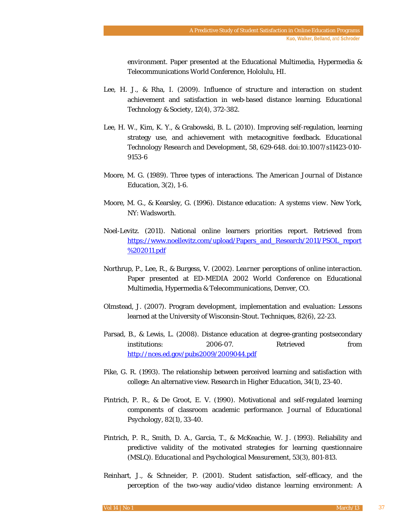*environment*. Paper presented at the Educational Multimedia, Hypermedia & Telecommunications World Conference, Hololulu, HI.

- Lee, H. J., & Rha, I. (2009). Influence of structure and interaction on student achievement and satisfaction in web-based distance learning. *Educational Technology & Society, 12*(4), 372-382.
- Lee, H. W., Kim, K. Y., & Grabowski, B. L. (2010). Improving self-regulation, learning strategy use, and achievement with metacognitive feedback. *Educational Technology Research and Development, 58*, 629-648. doi:10.1007/s11423-010- 9153-6
- Moore, M. G. (1989). Three types of interactions. *The American Journal of Distance Education, 3*(2), 1-6.
- Moore, M. G., & Kearsley, G. (1996). *Distance education: A systems view.* New York, NY: Wadsworth.
- Noel-Levitz. (2011). National online learners priorities report. Retrieved from [https://www.noellevitz.com/upload/Papers\\_and\\_Research/2011/PSOL\\_report](https://www.noellevitz.com/upload/Papers_and_Research/2011/PSOL_report%202011.pdf) [%202011.pdf](https://www.noellevitz.com/upload/Papers_and_Research/2011/PSOL_report%202011.pdf)
- Northrup, P., Lee, R., & Burgess, V. (2002). *Learner perceptions of online interaction.* Paper presented at ED-MEDIA 2002 World Conference on Educational Multimedia, Hypermedia & Telecommunications, Denver, CO.
- Olmstead, J. (2007). Program development, implementation and evaluation: Lessons learned at the University of Wisconsin-Stout. *Techniques, 82*(6), 22-23.
- Parsad, B., & Lewis, L. (2008). Distance education at degree-granting postsecondary institutions: 2006-07*.* Retrieved from http://nces.ed.gov/pubs2009/2009044.pdf
- Pike, G. R. (1993). The relationship between perceived learning and satisfaction with college: An alternative view. *Research in Higher Education, 34*(1), 23-40.
- Pintrich, P. R., & De Groot, E. V. (1990). Motivational and self-regulated learning components of classroom academic performance. *Journal of Educational Psychology, 82*(1), 33-40.
- Pintrich, P. R., Smith, D. A., Garcia, T., & McKeachie, W. J. (1993). Reliability and predictive validity of the motivated strategies for learning questionnaire (MSLQ). *Educational and Psychological Measurement, 53*(3), 801-813.
- Reinhart, J., & Schneider, P. (2001). Student satisfaction, self-efficacy, and the perception of the two-way audio/video distance learning environment: A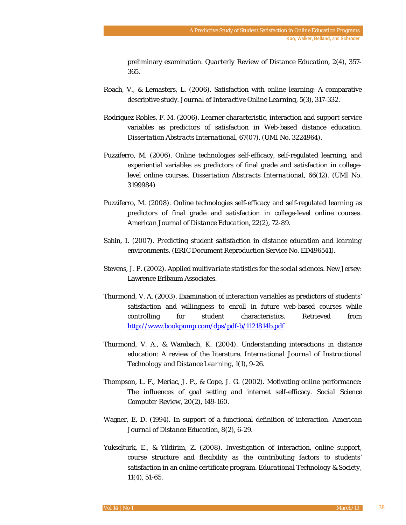preliminary examination. *Quarterly Review of Distance Education, 2*(4), 357- 365.

- Roach, V., & Lemasters, L. (2006). Satisfaction with online learning: A comparative descriptive study. *Journal of Interactive Online Learning,* 5(3), 317-332.
- Rodriguez Robles, F. M. (2006). Learner characteristic, interaction and support service variables as predictors of satisfaction in Web-based distance education. *Dissertation Abstracts International, 67*(07). (UMI No. 3224964).
- Puzziferro, M. (2006). Online technologies self-efficacy, self-regulated learning, and experiential variables as predictors of final grade and satisfaction in collegelevel online courses. *Dissertation Abstracts International, 66*(12). (UMI No. 3199984)
- Puzziferro, M. (2008). Online technologies self-efficacy and self-regulated learning as predictors of final grade and satisfaction in college-level online courses. *American Journal of Distance Education, 22*(2), 72-89.
- Sahin, I. (2007). *Predicting student satisfaction in distance education and learning environments.* (ERIC Document Reproduction Service No. ED496541).
- Stevens, J. P. (2002). *Applied multivariate statistics for the social sciences*. New Jersey: Lawrence Erlbaum Associates.
- Thurmond, V. A. (2003). Examination of interaction variables as predictors of students' satisfaction and willingness to enroll in future web-based courses while controlling for student characteristics. Retrieved from <http://www.bookpump.com/dps/pdf-b/1121814b.pdf>
- Thurmond, V. A., & Wambach, K. (2004). Understanding interactions in distance education: A review of the literature. *International Journal of Instructional Technology and Distance Learning, 1*(1), 9-26.
- Thompson, L. F., Meriac, J. P., & Cope, J. G. (2002). Motivating online performance: The influences of goal setting and internet self-efficacy. *Social Science Computer Review, 20*(2), 149-160.
- Wagner, E. D. (1994). In support of a functional definition of interaction. *American Journal of Distance Education, 8*(2), 6-29.
- Yukselturk, E., & Yildirim, Z. (2008). Investigation of interaction, online support, course structure and flexibility as the contributing factors to students' satisfaction in an online certificate program. *Educational Technology & Society, 11*(4), 51-65.